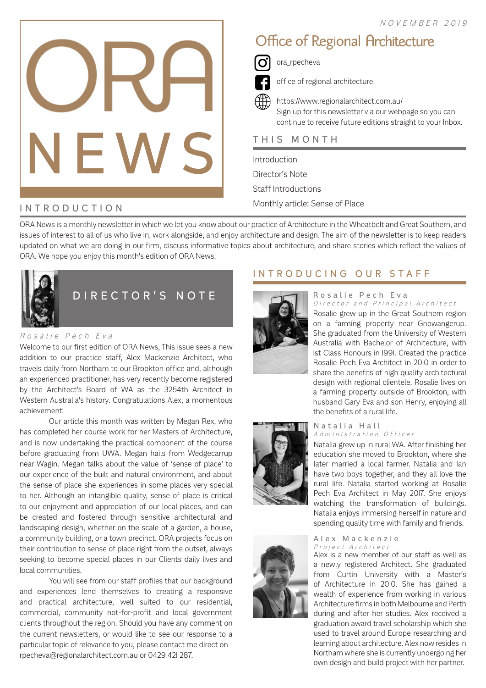

# Office of Regional Architecture



ora\_rpecheva

office of regional architecture

https://www.regionalarchitect.com.au/ Sign up for this newsletter via our webpage so you can continue to receive future editions straight to your Inbox.

Introduction Director's Note Staff Introductions Monthly article: Sense of Place

# INTRODUCTION

ORA News is a monthly newsletter in which we let you know about our practice of Architecture in the Wheatbelt and Great Southern, and issues of interest to all of us who live in, work alongside, and enjoy architecture and design. The aim of the newsletter is to keep readers updated on what we are doing in our firm, discuss informative topics about architecture, and share stories which reflect the values of ORA. We hope you enjoy this month's edition of ORA News.



### Rosalie Pech Eva

Welcome to our first edition of ORA News, This issue sees a new addition to our practice staff, Alex Mackenzie Architect, who travels daily from Northam to our Brookton office and, although an experienced practitioner, has very recently become registered by the Architect's Board of WA as the 3254th Architect in Western Australia's history. Congratulations Alex, a momentous achievement!

Our article this month was written by Megan Rex, who has completed her course work for her Masters of Architecture, and is now undertaking the practical component of the course before graduating from UWA. Megan hails from Wedgecarrup near Wagin. Megan talks about the value of 'sense of place' to our experience of the built and natural environment, and about the sense of place she experiences in some places very special to her. Although an intangible quality, sense of place is critical to our enjoyment and appreciation of our local places, and can be created and fostered through sensitive architectural and landscaping design, whether on the scale of a garden, a house, a community building, or a town precinct. ORA projects focus on their contribution to sense of place right from the outset, always seeking to become special places in our Clients daily lives and local communities.

You will see from our staff profiles that our background and experiences lend themselves to creating a responsive and practical architecture, well suited to our residential, commercial, community not-for-profit and local government clients throughout the region. Should you have any comment on the current newsletters, or would like to see our response to a particular topic of relevance to you, please contact me direct on rpecheva@regionalarchitect.com.au or 0429 421 287.

# INTRODUCING OUR STAFF



### Rosalie Pech Eva Director and Principal Architect

Rosalie grew up in the Great Southern region on a farming property near Gnowangerup. She graduated from the University of Western Australia with Bachelor of Architecture, with 1st Class Honours in 1991. Created the practice Rosalie Pech Eva Architect in 2010 in order to share the benefits of high quality architectural design with regional clientele. Rosalie lives on a farming property outside of Brookton, with husband Gary Eva and son Henry, enjoying all the benefits of a rural life.





#### Natalia Hall Administration Officer

Natalia grew up in rural WA. After finishing her education she moved to Brookton, where she later married a local farmer. Natalia and Ian have two boys together, and they all love the rural life. Natalia started working at Rosalie Pech Eva Architect in May 2017. She enjoys watching the transformation of buildings. Natalia enjoys immersing herself in nature and spending quality time with family and friends.

### Alex Mackenzie Project Architect

Alex is a new member of our staff as well as a newly registered Architect. She graduated from Curtin University with a Master's of Architecture in 2010. She has gained a wealth of experience from working in various Architecture firms in both Melbourne and Perth during and after her studies. Alex received a graduation award travel scholarship which she used to travel around Europe researching and learning about architecture. Alex now resides in Northam where she is currently undergoing her own design and build project with her partner.